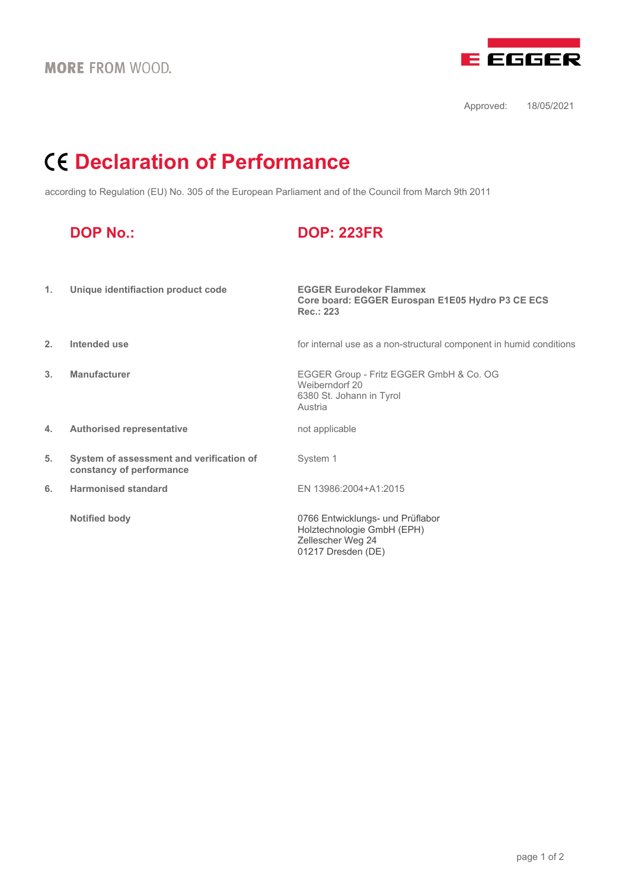

Approved: 18/05/2021

# **Declaration of Performance**

according to Regulation (EU) No. 305 of the European Parliament and of the Council from March 9th 2011

| <b>DOP No.:</b> |  |  |
|-----------------|--|--|
|                 |  |  |

## **DOP No.: DOP: 223FR**

| 1. | Unique identifiaction product code                                   | <b>EGGER Eurodekor Flammex</b><br>Core board: EGGER Eurospan E1E05 Hydro P3 CE ECS<br>Rec.: 223           |
|----|----------------------------------------------------------------------|-----------------------------------------------------------------------------------------------------------|
| 2. | Intended use                                                         | for internal use as a non-structural component in humid conditions                                        |
| 3. | <b>Manufacturer</b>                                                  | EGGER Group - Fritz EGGER GmbH & Co. OG<br>Weiberndorf 20<br>6380 St. Johann in Tyrol<br>Austria          |
| 4. | <b>Authorised representative</b>                                     | not applicable                                                                                            |
| 5. | System of assessment and verification of<br>constancy of performance | System 1                                                                                                  |
| 6. | <b>Harmonised standard</b>                                           | EN 13986:2004+A1:2015                                                                                     |
|    | <b>Notified body</b>                                                 | 0766 Entwicklungs- und Prüflabor<br>Holztechnologie GmbH (EPH)<br>Zellescher Weg 24<br>01217 Dresden (DE) |